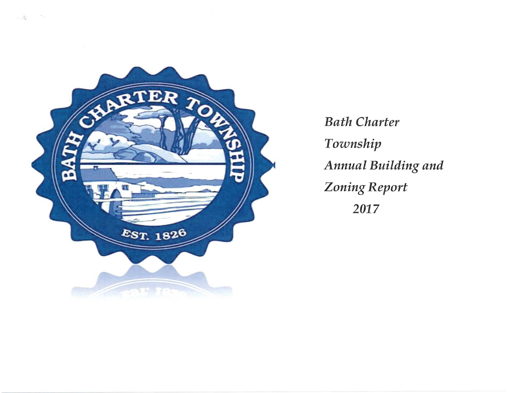

 $\label{eq:12} \frac{1}{\alpha-\mu\frac{2\pi}{\sqrt{m}}}=-\frac{2}{\alpha-\mu}$ 

**Bath Charter** Township Annual Building and **Zoning Report** 2017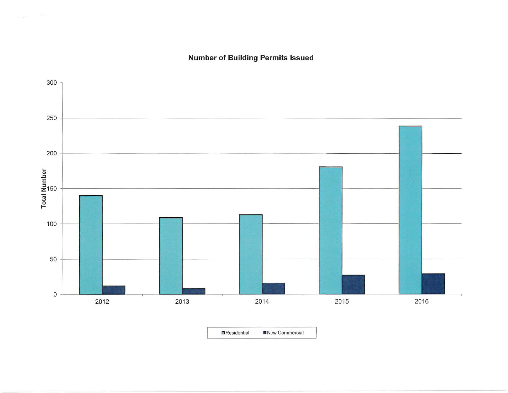**Number of Building Permits Issued** 

 $\omega_{\rm{max}}$  is  $\omega_{\rm{max}}=0.25$ 



**E** Residential **E** New Commercial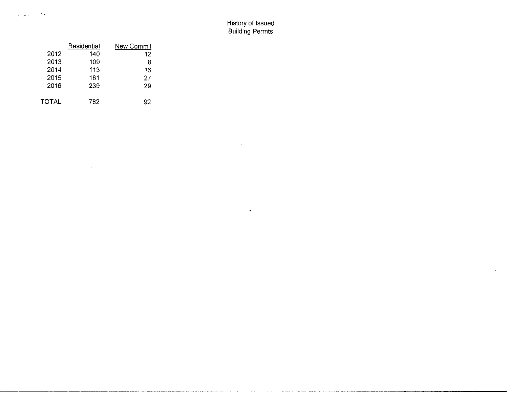$\mathbf{r}$ 

 $\bullet$ 

 $\ddot{\phantom{a}}$ 

 $\mathbf{r}$ 

| New Comm'l | Residential |       |
|------------|-------------|-------|
| 12         | 140         | 2012  |
| 8          | 109         | 2013  |
| 16         | 113         | 2014  |
| 27         | 181         | 2015  |
| 29         | 239         | 2016  |
| 92         | 782         | TOTAL |

 $\sim$ 

 $\sim 10$  $\mathcal{L}^{\text{max}}$ 

 $\bullet$ 

 $\zeta=\sqrt{\omega_{\rm{eff}}/\tau}$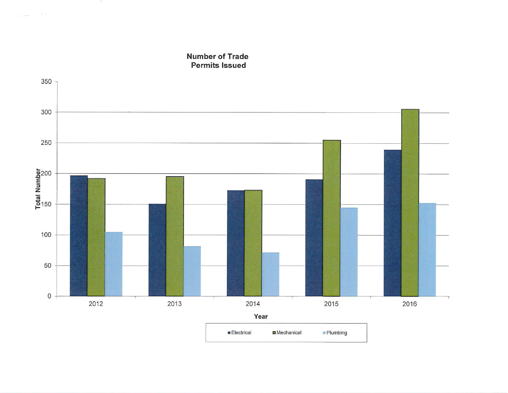**Number of Trade Permits Issued** 

 $-20$ 

 $\sim$   $-$ 

 $\alpha$  -parents

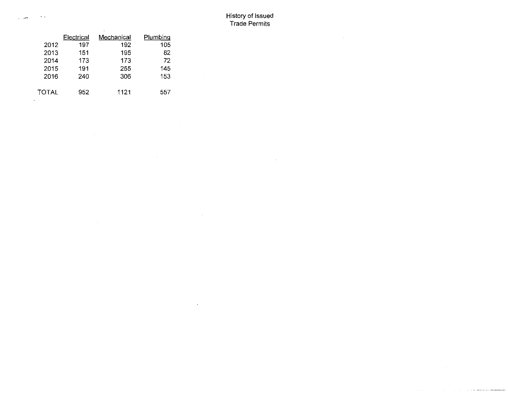## History of Issued Trade Permits

 $\sim$ 

 $\mathcal{A}^{\mathcal{A}}$ 

 $\sim$ 

 $\sim 10^7$ 

 $\sim 10^7$ 

 $\bar{z}$ 

|       | Electrical | Mechanical | Plumbing |
|-------|------------|------------|----------|
| 2012  | 197        | 192        | 105      |
| 2013  | 151        | 195        | 82       |
| 2014  | 173        | 173        | 72       |
| 2015  | 191        | 255        | 145      |
| 2016  | 240        | 306        | 153      |
| TOTAL | 952        | 1121       | 557      |

 $\sim 10^7$ 

 $\sim$   $\sim$ 

 $\sim$   $\sim$ 

 $\sim$ 

 $\sim$ 

المسورين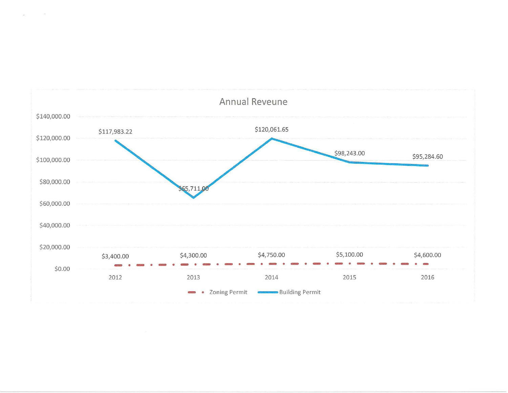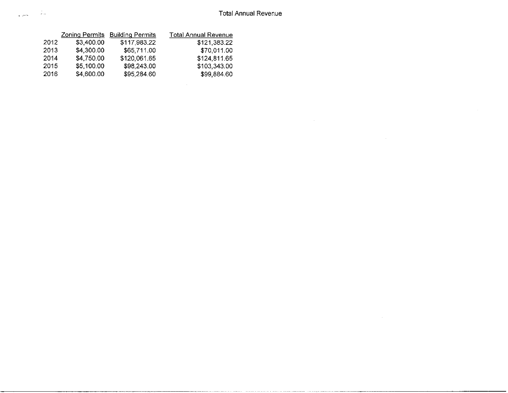$\sim$ 

|      | <b>Zoning Permits</b> | <b>Building Permits</b> | <b>Total Annual Revenue</b> |
|------|-----------------------|-------------------------|-----------------------------|
| 2012 | \$3,400.00            | \$117,983.22            | \$121,383.22                |
| 2013 | \$4,300.00            | \$65,711.00             | \$70,011.00                 |
| 2014 | \$4,750.00            | \$120,061.65            | \$124,811.65                |
| 2015 | \$5,100.00            | \$98,243.00             | \$103,343.00                |
| 2016 | \$4,600.00            | \$95,284.60             | \$99,884.60                 |

 $\sim 10^{-11}$